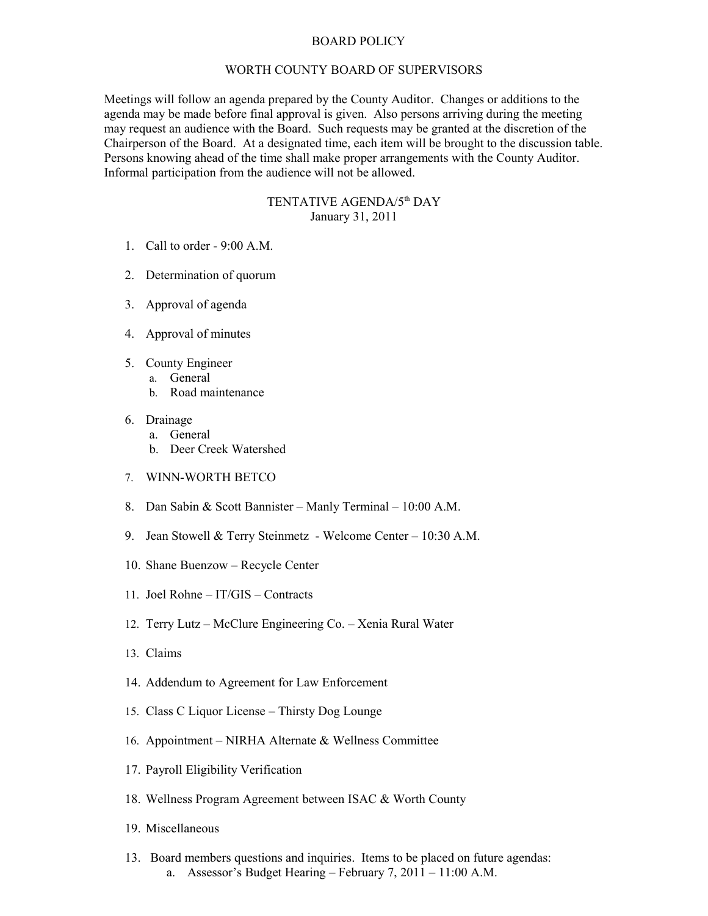## BOARD POLICY

## WORTH COUNTY BOARD OF SUPERVISORS

Meetings will follow an agenda prepared by the County Auditor. Changes or additions to the agenda may be made before final approval is given. Also persons arriving during the meeting may request an audience with the Board. Such requests may be granted at the discretion of the Chairperson of the Board. At a designated time, each item will be brought to the discussion table. Persons knowing ahead of the time shall make proper arrangements with the County Auditor. Informal participation from the audience will not be allowed.

## TENTATIVE AGENDA/5<sup>th</sup> DAY January 31, 2011

- 1. Call to order 9:00 A.M.
- 2. Determination of quorum
- 3. Approval of agenda
- 4. Approval of minutes
- 5. County Engineer
	- a. General
		- b. Road maintenance
- 6. Drainage
	- a. General
	- b. Deer Creek Watershed
- 7. WINN-WORTH BETCO
- 8. Dan Sabin & Scott Bannister Manly Terminal 10:00 A.M.
- 9. Jean Stowell & Terry Steinmetz Welcome Center 10:30 A.M.
- 10. Shane Buenzow Recycle Center
- 11. Joel Rohne IT/GIS Contracts
- 12. Terry Lutz McClure Engineering Co. Xenia Rural Water
- 13. Claims
- 14. Addendum to Agreement for Law Enforcement
- 15. Class C Liquor License Thirsty Dog Lounge
- 16. Appointment NIRHA Alternate & Wellness Committee
- 17. Payroll Eligibility Verification
- 18. Wellness Program Agreement between ISAC & Worth County
- 19. Miscellaneous
- 13. Board members questions and inquiries. Items to be placed on future agendas: a. Assessor's Budget Hearing – February 7, 2011 – 11:00 A.M.